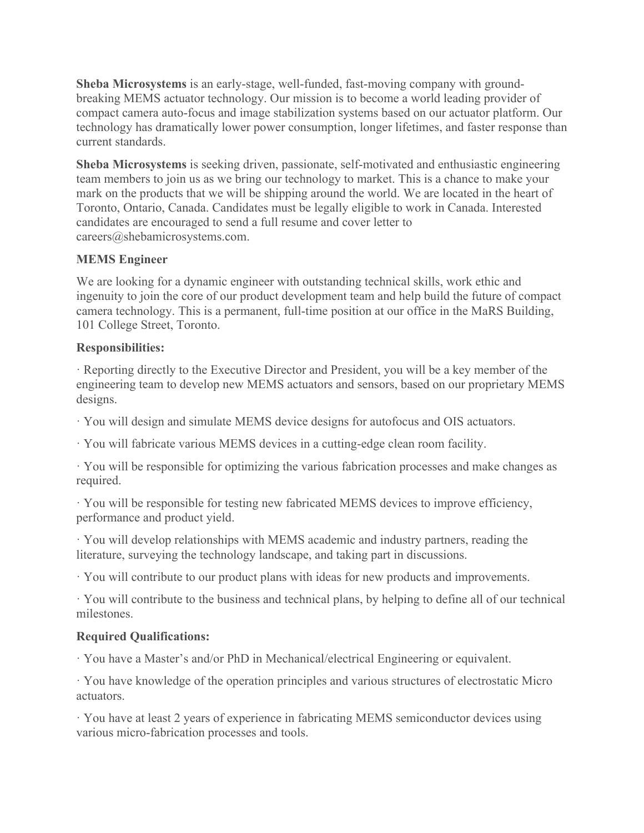**Sheba Microsystems** is an early-stage, well-funded, fast-moving company with groundbreaking MEMS actuator technology. Our mission is to become a world leading provider of compact camera auto-focus and image stabilization systems based on our actuator platform. Our technology has dramatically lower power consumption, longer lifetimes, and faster response than current standards.

**Sheba Microsystems** is seeking driven, passionate, self-motivated and enthusiastic engineering team members to join us as we bring our technology to market. This is a chance to make your mark on the products that we will be shipping around the world. We are located in the heart of Toronto, Ontario, Canada. Candidates must be legally eligible to work in Canada. Interested candidates are encouraged to send a full resume and cover letter to careers@shebamicrosystems.com.

## **MEMS Engineer**

We are looking for a dynamic engineer with outstanding technical skills, work ethic and ingenuity to join the core of our product development team and help build the future of compact camera technology. This is a permanent, full-time position at our office in the MaRS Building, 101 College Street, Toronto.

## **Responsibilities:**

· Reporting directly to the Executive Director and President, you will be a key member of the engineering team to develop new MEMS actuators and sensors, based on our proprietary MEMS designs.

· You will design and simulate MEMS device designs for autofocus and OIS actuators.

· You will fabricate various MEMS devices in a cutting-edge clean room facility.

· You will be responsible for optimizing the various fabrication processes and make changes as required.

· You will be responsible for testing new fabricated MEMS devices to improve efficiency, performance and product yield.

· You will develop relationships with MEMS academic and industry partners, reading the literature, surveying the technology landscape, and taking part in discussions.

· You will contribute to our product plans with ideas for new products and improvements.

· You will contribute to the business and technical plans, by helping to define all of our technical milestones.

## **Required Qualifications:**

· You have a Master's and/or PhD in Mechanical/electrical Engineering or equivalent.

· You have knowledge of the operation principles and various structures of electrostatic Micro actuators.

· You have at least 2 years of experience in fabricating MEMS semiconductor devices using various micro-fabrication processes and tools.